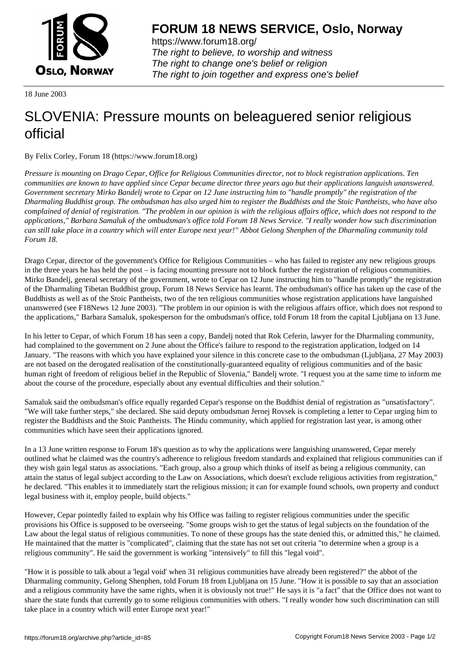

https://www.forum18.org/ The right to believe, to worship and witness The right to change one's belief or religion [The right to join together a](https://www.forum18.org/)nd express one's belief

18 June 2003

## [SLOVENIA: Pre](https://www.forum18.org)ssure mounts on beleaguered senior religious official

By Felix Corley, Forum 18 (https://www.forum18.org)

*Pressure is mounting on Drago Cepar, Office for Religious Communities director, not to block registration applications. Ten communities are known to have applied since Cepar became director three years ago but their applications languish unanswered. Government secretary Mirko Bandelj wrote to Cepar on 12 June instructing him to "handle promptly" the registration of the Dharmaling Buddhist group. The ombudsman has also urged him to register the Buddhists and the Stoic Pantheists, who have also complained of denial of registration. "The problem in our opinion is with the religious affairs office, which does not respond to the applications," Barbara Samaluk of the ombudsman's office told Forum 18 News Service. "I really wonder how such discrimination can still take place in a country which will enter Europe next year!" Abbot Gelong Shenphen of the Dharmaling community told Forum 18.*

Drago Cepar, director of the government's Office for Religious Communities – who has failed to register any new religious groups in the three years he has held the post – is facing mounting pressure not to block further the registration of religious communities. Mirko Bandelj, general secretary of the government, wrote to Cepar on 12 June instructing him to "handle promptly" the registration of the Dharmaling Tibetan Buddhist group, Forum 18 News Service has learnt. The ombudsman's office has taken up the case of the Buddhists as well as of the Stoic Pantheists, two of the ten religious communities whose registration applications have languished unanswered (see F18News 12 June 2003). "The problem in our opinion is with the religious affairs office, which does not respond to the applications," Barbara Samaluk, spokesperson for the ombudsman's office, told Forum 18 from the capital Ljubljana on 13 June.

In his letter to Cepar, of which Forum 18 has seen a copy, Bandelj noted that Rok Ceferin, lawyer for the Dharmaling community, had complained to the government on 2 June about the Office's failure to respond to the registration application, lodged on 14 January. "The reasons with which you have explained your silence in this concrete case to the ombudsman (Ljubljana, 27 May 2003) are not based on the derogated realisation of the constitutionally-guaranteed equality of religious communities and of the basic human right of freedom of religious belief in the Republic of Slovenia," Bandelj wrote. "I request you at the same time to inform me about the course of the procedure, especially about any eventual difficulties and their solution."

Samaluk said the ombudsman's office equally regarded Cepar's response on the Buddhist denial of registration as "unsatisfactory". "We will take further steps," she declared. She said deputy ombudsman Jernej Rovsek is completing a letter to Cepar urging him to register the Buddhists and the Stoic Pantheists. The Hindu community, which applied for registration last year, is among other communities which have seen their applications ignored.

In a 13 June written response to Forum 18's question as to why the applications were languishing unanswered, Cepar merely outlined what he claimed was the country's adherence to religious freedom standards and explained that religious communities can if they wish gain legal status as associations. "Each group, also a group which thinks of itself as being a religious community, can attain the status of legal subject according to the Law on Associations, which doesn't exclude religious activities from registration," he declared. "This enables it to immediately start the religious mission; it can for example found schools, own property and conduct legal business with it, employ people, build objects."

However, Cepar pointedly failed to explain why his Office was failing to register religious communities under the specific provisions his Office is supposed to be overseeing. "Some groups wish to get the status of legal subjects on the foundation of the Law about the legal status of religious communities. To none of these groups has the state denied this, or admitted this," he claimed. He maintained that the matter is "complicated", claiming that the state has not set out criteria "to determine when a group is a religious community". He said the government is working "intensively" to fill this "legal void".

"How it is possible to talk about a 'legal void' when 31 religious communities have already been registered?" the abbot of the Dharmaling community, Gelong Shenphen, told Forum 18 from Ljubljana on 15 June. "How it is possible to say that an association and a religious community have the same rights, when it is obviously not true!" He says it is "a fact" that the Office does not want to share the state funds that currently go to some religious communities with others. "I really wonder how such discrimination can still take place in a country which will enter Europe next year!"